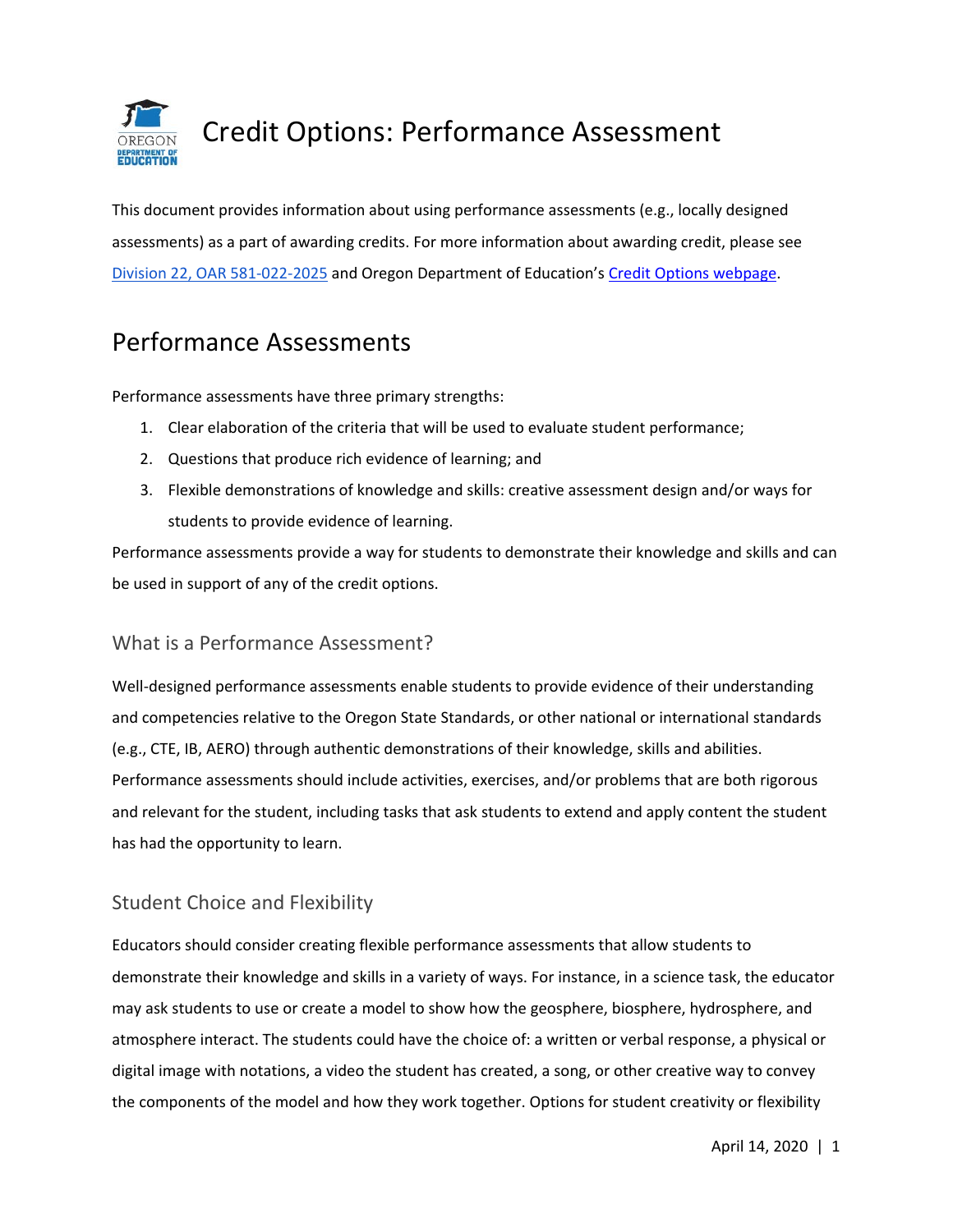

This document provides information about using performance assessments (e.g., locally designed assessments) as a part of awarding credits. For more information about awarding credit, please se[e](https://secure.sos.state.or.us/oard/viewSingleRule.action?ruleVrsnRsn=145206) Division 22, OAR 581-022-2025 and Oregon Department of Education's [Credit Options webpage.](https://www.oregon.gov/ode/students-and-family/OregonDiploma/Pages/Credit-Options.aspx)

# Performance Assessments

Performance assessments have three primary strengths:

- 1. Clear elaboration of the criteria that will be used to evaluate student performance;
- 2. Questions that produce rich evidence of learning; and
- 3. Flexible demonstrations of knowledge and skills: creative assessment design and/or ways for students to provide evidence of learning.

Performance assessments provide a way for students to demonstrate their knowledge and skills and can be used in support of any of the credit options.

### What is a Performance Assessment?

Well-designed performance assessments enable students to provide evidence of their understanding and competencies relative to the Oregon State Standards, or other national or international standards (e.g., CTE, IB, AERO) through authentic demonstrations of their knowledge, skills and abilities. Performance assessments should include activities, exercises, and/or problems that are both rigorous and relevant for the student, including tasks that ask students to extend and apply content the student has had the opportunity to learn.

## Student Choice and Flexibility

Educators should consider creating flexible performance assessments that allow students to demonstrate their knowledge and skills in a variety of ways. For instance, in a science task, the educator may ask students to use or create a model to show how the geosphere, biosphere, hydrosphere, and atmosphere interact. The students could have the choice of: a written or verbal response, a physical or digital image with notations, a video the student has created, a song, or other creative way to convey the components of the model and how they work together. Options for student creativity or flexibility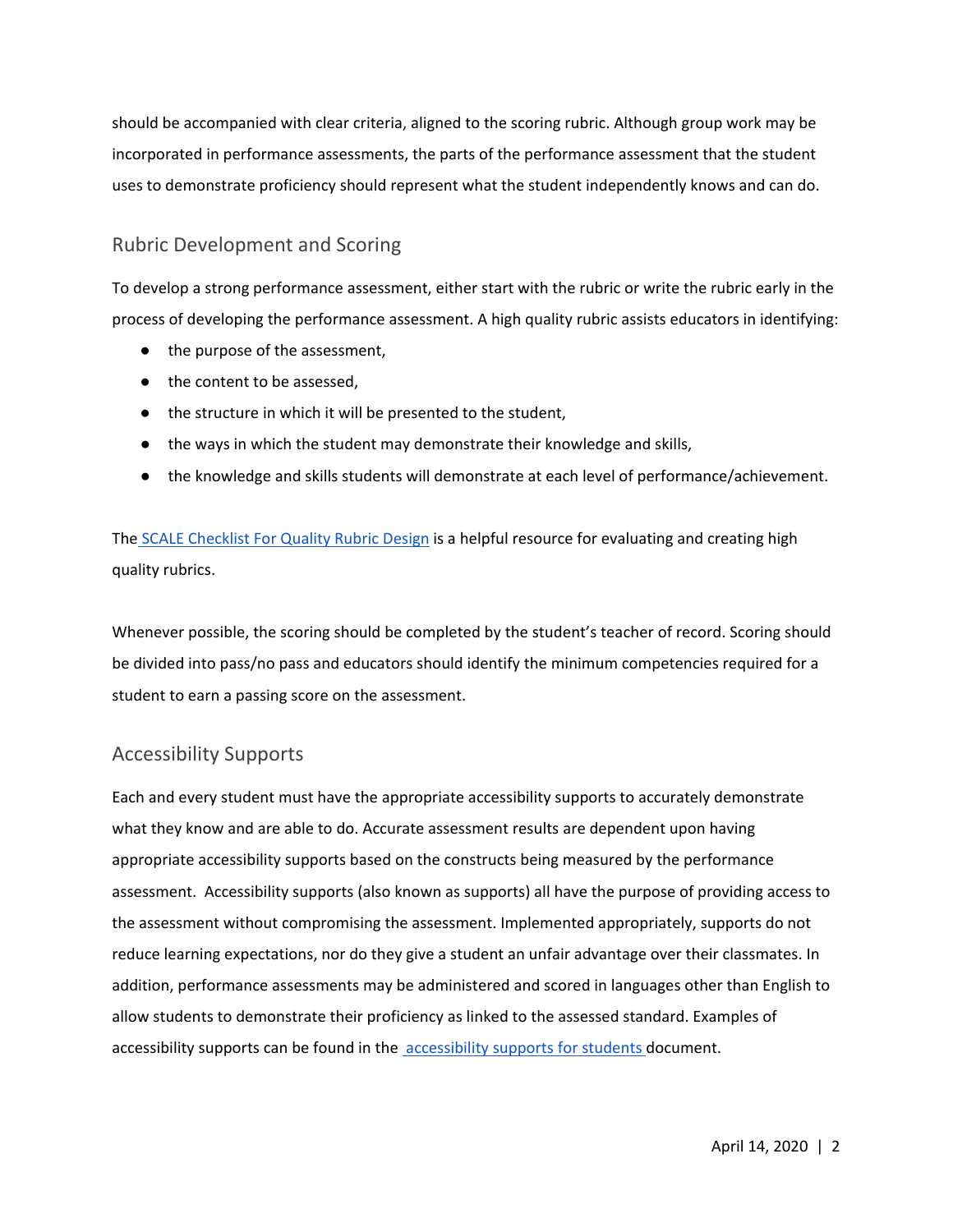should be accompanied with clear criteria, aligned to the scoring rubric. Although group work may be incorporated in performance assessments, the parts of the performance assessment that the student uses to demonstrate proficiency should represent what the student independently knows and can do.

### Rubric Development and Scoring

To develop a strong performance assessment, either start with the rubric or write the rubric early in the process of developing the performance assessment. A high quality rubric assists educators in identifying:

- the purpose of the assessment,
- the content to be assessed,
- the structure in which it will be presented to the student,
- the ways in which the student may demonstrate their knowledge and skills,
- the knowledge and skills students will demonstrate at each level of performance/achievement.

The [SCALE Checklist For Quality Rubric](http://www.performanceassessmentresourcebank.org/system/files/SCALE%20Quality%20Rubric%20Checklist.docx.pdf) Design is a helpful resource for evaluating and creating high quality rubrics.

Whenever possible, the scoring should be completed by the student's teacher of record. Scoring should be divided into pass/no pass and educators should identify the minimum competencies required for a student to earn a passing score on the assessment.

### Accessibility Supports

Each and every student must have the appropriate accessibility supports to accurately demonstrate what they know and are able to do. Accurate assessment results are dependent upon having appropriate accessibility supports based on the constructs being measured by the performance assessment. Accessibility supports (also known as supports) all have the purpose of providing access to the assessment without compromising the assessment. Implemented appropriately, supports do not reduce learning expectations, nor do they give a student an unfair advantage over their classmates. In addition, performance assessments may be administered and scored in languages other than English to allow students to demonstrate their proficiency as linked to the assessed standard. Examples of accessibility supports can be found in the **accessibility supports for students** document.